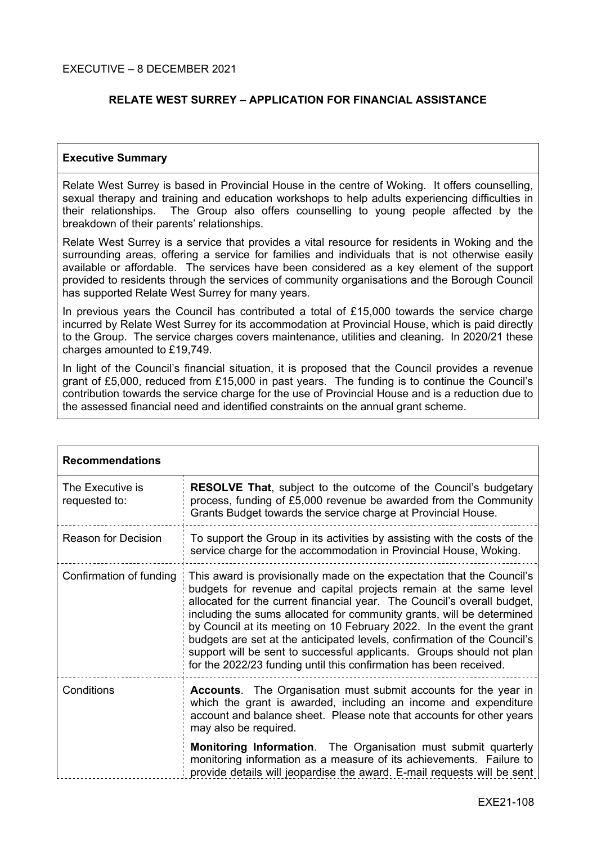# **RELATE WEST SURREY – APPLICATION FOR FINANCIAL ASSISTANCE**

#### **Executive Summary**

Relate West Surrey is based in Provincial House in the centre of Woking. It offers counselling, sexual therapy and training and education workshops to help adults experiencing difficulties in their relationships. The Group also offers counselling to young people affected by the breakdown of their parents' relationships.

Relate West Surrey is a service that provides a vital resource for residents in Woking and the surrounding areas, offering a service for families and individuals that is not otherwise easily available or affordable. The services have been considered as a key element of the support provided to residents through the services of community organisations and the Borough Council has supported Relate West Surrey for many years.

In previous years the Council has contributed a total of £15,000 towards the service charge incurred by Relate West Surrey for its accommodation at Provincial House, which is paid directly to the Group. The service charges covers maintenance, utilities and cleaning. In 2020/21 these charges amounted to £19,749.

In light of the Council's financial situation, it is proposed that the Council provides a revenue grant of £5,000, reduced from £15,000 in past years. The funding is to continue the Council's contribution towards the service charge for the use of Provincial House and is a reduction due to the assessed financial need and identified constraints on the annual grant scheme.

| <b>Recommendations</b>            |                                                                                                                                                                                                                                                                                                                                                                                                                                                                                                                                                                                                     |  |
|-----------------------------------|-----------------------------------------------------------------------------------------------------------------------------------------------------------------------------------------------------------------------------------------------------------------------------------------------------------------------------------------------------------------------------------------------------------------------------------------------------------------------------------------------------------------------------------------------------------------------------------------------------|--|
| The Executive is<br>requested to: | <b>RESOLVE That, subject to the outcome of the Council's budgetary</b><br>process, funding of £5,000 revenue be awarded from the Community<br>Grants Budget towards the service charge at Provincial House.                                                                                                                                                                                                                                                                                                                                                                                         |  |
| <b>Reason for Decision</b>        | To support the Group in its activities by assisting with the costs of the<br>service charge for the accommodation in Provincial House, Woking.                                                                                                                                                                                                                                                                                                                                                                                                                                                      |  |
| Confirmation of funding           | This award is provisionally made on the expectation that the Council's<br>budgets for revenue and capital projects remain at the same level<br>allocated for the current financial year. The Council's overall budget,<br>including the sums allocated for community grants, will be determined<br>by Council at its meeting on 10 February 2022. In the event the grant<br>budgets are set at the anticipated levels, confirmation of the Council's<br>support will be sent to successful applicants. Groups should not plan<br>for the 2022/23 funding until this confirmation has been received. |  |
| Conditions                        | <b>Accounts.</b> The Organisation must submit accounts for the year in<br>which the grant is awarded, including an income and expenditure<br>account and balance sheet. Please note that accounts for other years<br>may also be required.                                                                                                                                                                                                                                                                                                                                                          |  |
|                                   | Monitoring Information. The Organisation must submit quarterly<br>monitoring information as a measure of its achievements. Failure to<br>provide details will jeopardise the award. E-mail requests will be sent                                                                                                                                                                                                                                                                                                                                                                                    |  |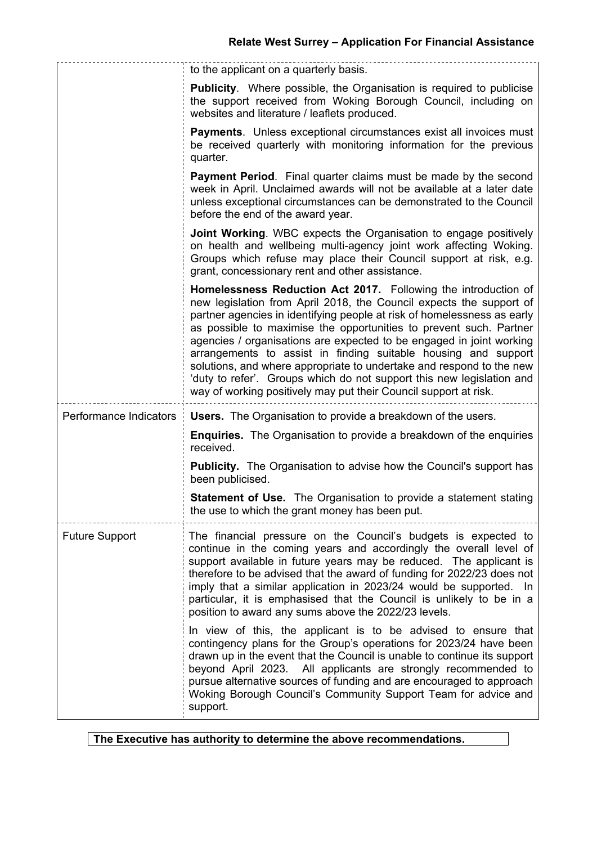|                        | to the applicant on a quarterly basis.                                                                                                                                                                                                                                                                                                                                                                                                                                                                                                                                                                                                                |  |
|------------------------|-------------------------------------------------------------------------------------------------------------------------------------------------------------------------------------------------------------------------------------------------------------------------------------------------------------------------------------------------------------------------------------------------------------------------------------------------------------------------------------------------------------------------------------------------------------------------------------------------------------------------------------------------------|--|
|                        | <b>Publicity.</b> Where possible, the Organisation is required to publicise<br>the support received from Woking Borough Council, including on<br>websites and literature / leaflets produced.                                                                                                                                                                                                                                                                                                                                                                                                                                                         |  |
|                        | Payments. Unless exceptional circumstances exist all invoices must<br>be received quarterly with monitoring information for the previous<br>quarter.                                                                                                                                                                                                                                                                                                                                                                                                                                                                                                  |  |
|                        | <b>Payment Period.</b> Final quarter claims must be made by the second<br>week in April. Unclaimed awards will not be available at a later date<br>unless exceptional circumstances can be demonstrated to the Council<br>before the end of the award year.                                                                                                                                                                                                                                                                                                                                                                                           |  |
|                        | <b>Joint Working.</b> WBC expects the Organisation to engage positively<br>on health and wellbeing multi-agency joint work affecting Woking.<br>Groups which refuse may place their Council support at risk, e.g.<br>grant, concessionary rent and other assistance.                                                                                                                                                                                                                                                                                                                                                                                  |  |
|                        | Homelessness Reduction Act 2017. Following the introduction of<br>new legislation from April 2018, the Council expects the support of<br>partner agencies in identifying people at risk of homelessness as early<br>as possible to maximise the opportunities to prevent such. Partner<br>agencies / organisations are expected to be engaged in joint working<br>arrangements to assist in finding suitable housing and support<br>solutions, and where appropriate to undertake and respond to the new<br>'duty to refer'. Groups which do not support this new legislation and<br>way of working positively may put their Council support at risk. |  |
| Performance Indicators | <b>Users.</b> The Organisation to provide a breakdown of the users.                                                                                                                                                                                                                                                                                                                                                                                                                                                                                                                                                                                   |  |
|                        | <b>Enquiries.</b> The Organisation to provide a breakdown of the enquiries<br>received.                                                                                                                                                                                                                                                                                                                                                                                                                                                                                                                                                               |  |
|                        | <b>Publicity.</b> The Organisation to advise how the Council's support has<br>been publicised.                                                                                                                                                                                                                                                                                                                                                                                                                                                                                                                                                        |  |
|                        | <b>Statement of Use.</b> The Organisation to provide a statement stating<br>the use to which the grant money has been put.                                                                                                                                                                                                                                                                                                                                                                                                                                                                                                                            |  |
| <b>Future Support</b>  | The financial pressure on the Council's budgets is expected to<br>continue in the coming years and accordingly the overall level of<br>support available in future years may be reduced. The applicant is<br>therefore to be advised that the award of funding for 2022/23 does not<br>imply that a similar application in 2023/24 would be supported. In<br>particular, it is emphasised that the Council is unlikely to be in a<br>position to award any sums above the 2022/23 levels.                                                                                                                                                             |  |
|                        | In view of this, the applicant is to be advised to ensure that<br>contingency plans for the Group's operations for 2023/24 have been<br>drawn up in the event that the Council is unable to continue its support<br>beyond April 2023. All applicants are strongly recommended to<br>pursue alternative sources of funding and are encouraged to approach<br>Woking Borough Council's Community Support Team for advice and<br>support.                                                                                                                                                                                                               |  |

**The Executive has authority to determine the above recommendations.**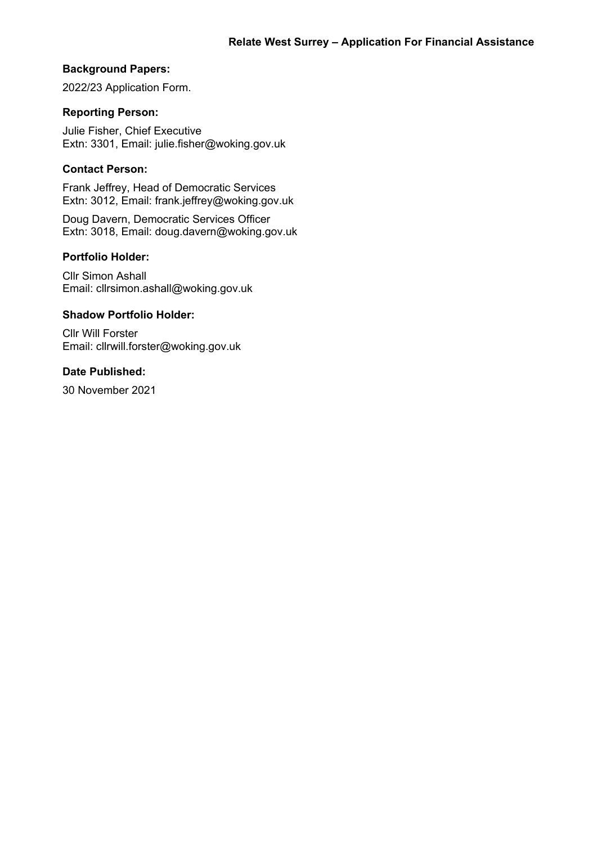# **Background Papers:**

2022/23 Application Form.

## **Reporting Person:**

Julie Fisher, Chief Executive Extn: 3301, Email: julie.fisher@woking.gov.uk

## **Contact Person:**

Frank Jeffrey, Head of Democratic Services Extn: 3012, Email: frank.jeffrey@woking.gov.uk

Doug Davern, Democratic Services Officer Extn: 3018, Email: doug.davern@woking.gov.uk

### **Portfolio Holder:**

Cllr Simon Ashall Email: cllrsimon.ashall@woking.gov.uk

### **Shadow Portfolio Holder:**

Cllr Will Forster Email: cllrwill.forster@woking.gov.uk

# **Date Published:**

30 November 2021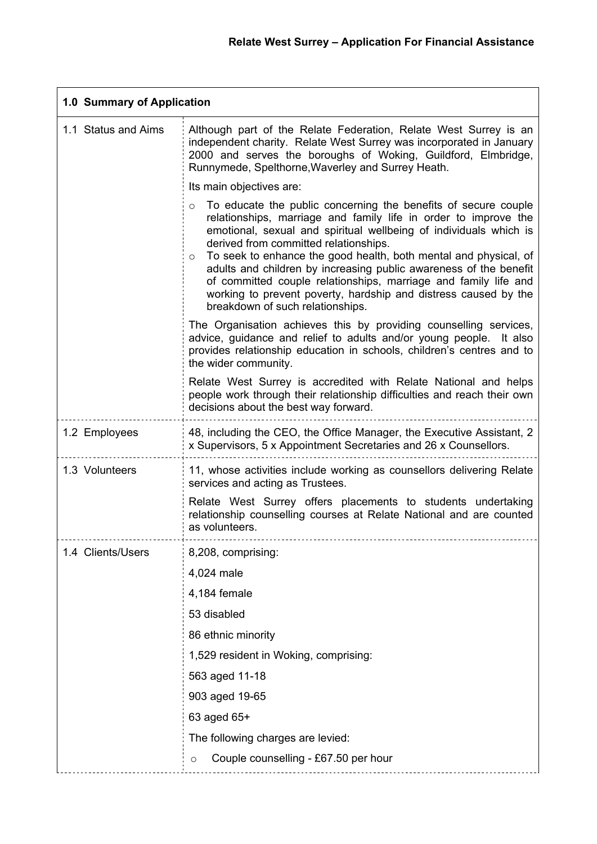| 1.0 Summary of Application |                                                                                                                                                                                                                                                                                                                                                                                                                                                                                                                                                                                          |  |
|----------------------------|------------------------------------------------------------------------------------------------------------------------------------------------------------------------------------------------------------------------------------------------------------------------------------------------------------------------------------------------------------------------------------------------------------------------------------------------------------------------------------------------------------------------------------------------------------------------------------------|--|
| 1.1 Status and Aims        | Although part of the Relate Federation, Relate West Surrey is an<br>independent charity. Relate West Surrey was incorporated in January<br>2000 and serves the boroughs of Woking, Guildford, Elmbridge,<br>Runnymede, Spelthorne, Waverley and Surrey Heath.                                                                                                                                                                                                                                                                                                                            |  |
|                            | Its main objectives are:                                                                                                                                                                                                                                                                                                                                                                                                                                                                                                                                                                 |  |
|                            | To educate the public concerning the benefits of secure couple<br>$\circ$<br>relationships, marriage and family life in order to improve the<br>emotional, sexual and spiritual wellbeing of individuals which is<br>derived from committed relationships.<br>To seek to enhance the good health, both mental and physical, of<br>$\circ$<br>adults and children by increasing public awareness of the benefit<br>of committed couple relationships, marriage and family life and<br>working to prevent poverty, hardship and distress caused by the<br>breakdown of such relationships. |  |
|                            | The Organisation achieves this by providing counselling services,<br>advice, guidance and relief to adults and/or young people. It also<br>provides relationship education in schools, children's centres and to<br>the wider community.                                                                                                                                                                                                                                                                                                                                                 |  |
|                            | Relate West Surrey is accredited with Relate National and helps<br>people work through their relationship difficulties and reach their own<br>decisions about the best way forward.                                                                                                                                                                                                                                                                                                                                                                                                      |  |
| 1.2 Employees              | 48, including the CEO, the Office Manager, the Executive Assistant, 2<br>x Supervisors, 5 x Appointment Secretaries and 26 x Counsellors.                                                                                                                                                                                                                                                                                                                                                                                                                                                |  |
| 1.3 Volunteers             | 11, whose activities include working as counsellors delivering Relate<br>services and acting as Trustees.                                                                                                                                                                                                                                                                                                                                                                                                                                                                                |  |
|                            | Relate West Surrey offers placements to students undertaking<br>relationship counselling courses at Relate National and are counted<br>as volunteers.                                                                                                                                                                                                                                                                                                                                                                                                                                    |  |
| 1.4 Clients/Users          | 8,208, comprising:                                                                                                                                                                                                                                                                                                                                                                                                                                                                                                                                                                       |  |
|                            | 4,024 male                                                                                                                                                                                                                                                                                                                                                                                                                                                                                                                                                                               |  |
|                            | 4,184 female                                                                                                                                                                                                                                                                                                                                                                                                                                                                                                                                                                             |  |
|                            | 53 disabled                                                                                                                                                                                                                                                                                                                                                                                                                                                                                                                                                                              |  |
|                            | 86 ethnic minority                                                                                                                                                                                                                                                                                                                                                                                                                                                                                                                                                                       |  |
|                            | 1,529 resident in Woking, comprising:                                                                                                                                                                                                                                                                                                                                                                                                                                                                                                                                                    |  |
|                            | 563 aged 11-18                                                                                                                                                                                                                                                                                                                                                                                                                                                                                                                                                                           |  |
|                            | 903 aged 19-65                                                                                                                                                                                                                                                                                                                                                                                                                                                                                                                                                                           |  |
|                            | 63 aged 65+                                                                                                                                                                                                                                                                                                                                                                                                                                                                                                                                                                              |  |
|                            | The following charges are levied:                                                                                                                                                                                                                                                                                                                                                                                                                                                                                                                                                        |  |
|                            | Couple counselling - £67.50 per hour<br>$\circ$                                                                                                                                                                                                                                                                                                                                                                                                                                                                                                                                          |  |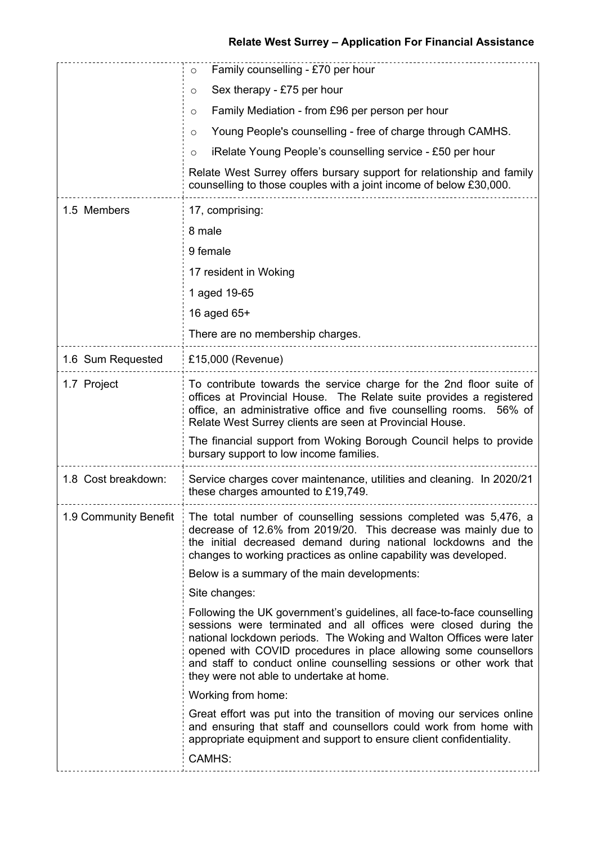# **Relate West Surrey – Application For Financial Assistance**

|                       | Family counselling - £70 per hour<br>O                                                                                                                                                                                                                                                                                                                                                                 |  |  |
|-----------------------|--------------------------------------------------------------------------------------------------------------------------------------------------------------------------------------------------------------------------------------------------------------------------------------------------------------------------------------------------------------------------------------------------------|--|--|
|                       | Sex therapy - £75 per hour<br>O                                                                                                                                                                                                                                                                                                                                                                        |  |  |
|                       | Family Mediation - from £96 per person per hour<br>O                                                                                                                                                                                                                                                                                                                                                   |  |  |
|                       | Young People's counselling - free of charge through CAMHS.<br>O                                                                                                                                                                                                                                                                                                                                        |  |  |
|                       | iRelate Young People's counselling service - £50 per hour<br>$\circ$                                                                                                                                                                                                                                                                                                                                   |  |  |
|                       | Relate West Surrey offers bursary support for relationship and family<br>counselling to those couples with a joint income of below £30,000.                                                                                                                                                                                                                                                            |  |  |
| 1.5 Members           | 17, comprising:                                                                                                                                                                                                                                                                                                                                                                                        |  |  |
|                       | 8 male                                                                                                                                                                                                                                                                                                                                                                                                 |  |  |
|                       | 9 female                                                                                                                                                                                                                                                                                                                                                                                               |  |  |
|                       | 17 resident in Woking                                                                                                                                                                                                                                                                                                                                                                                  |  |  |
|                       | 1 aged 19-65                                                                                                                                                                                                                                                                                                                                                                                           |  |  |
|                       | 16 aged 65+                                                                                                                                                                                                                                                                                                                                                                                            |  |  |
|                       | There are no membership charges.                                                                                                                                                                                                                                                                                                                                                                       |  |  |
| 1.6 Sum Requested     | £15,000 (Revenue)                                                                                                                                                                                                                                                                                                                                                                                      |  |  |
| 1.7 Project           | To contribute towards the service charge for the 2nd floor suite of<br>offices at Provincial House. The Relate suite provides a registered<br>office, an administrative office and five counselling rooms. 56% of<br>Relate West Surrey clients are seen at Provincial House.                                                                                                                          |  |  |
|                       | The financial support from Woking Borough Council helps to provide<br>bursary support to low income families.                                                                                                                                                                                                                                                                                          |  |  |
| 1.8 Cost breakdown:   | Service charges cover maintenance, utilities and cleaning. In 2020/21<br>these charges amounted to £19,749.                                                                                                                                                                                                                                                                                            |  |  |
| 1.9 Community Benefit | The total number of counselling sessions completed was 5,476, a<br>decrease of 12.6% from 2019/20. This decrease was mainly due to<br>the initial decreased demand during national lockdowns and the<br>changes to working practices as online capability was developed.                                                                                                                               |  |  |
|                       | Below is a summary of the main developments:                                                                                                                                                                                                                                                                                                                                                           |  |  |
|                       | Site changes:                                                                                                                                                                                                                                                                                                                                                                                          |  |  |
|                       | Following the UK government's guidelines, all face-to-face counselling<br>sessions were terminated and all offices were closed during the<br>national lockdown periods. The Woking and Walton Offices were later<br>opened with COVID procedures in place allowing some counsellors<br>and staff to conduct online counselling sessions or other work that<br>they were not able to undertake at home. |  |  |
|                       | Working from home:                                                                                                                                                                                                                                                                                                                                                                                     |  |  |
|                       | Great effort was put into the transition of moving our services online<br>and ensuring that staff and counsellors could work from home with<br>appropriate equipment and support to ensure client confidentiality.                                                                                                                                                                                     |  |  |
|                       | CAMHS:                                                                                                                                                                                                                                                                                                                                                                                                 |  |  |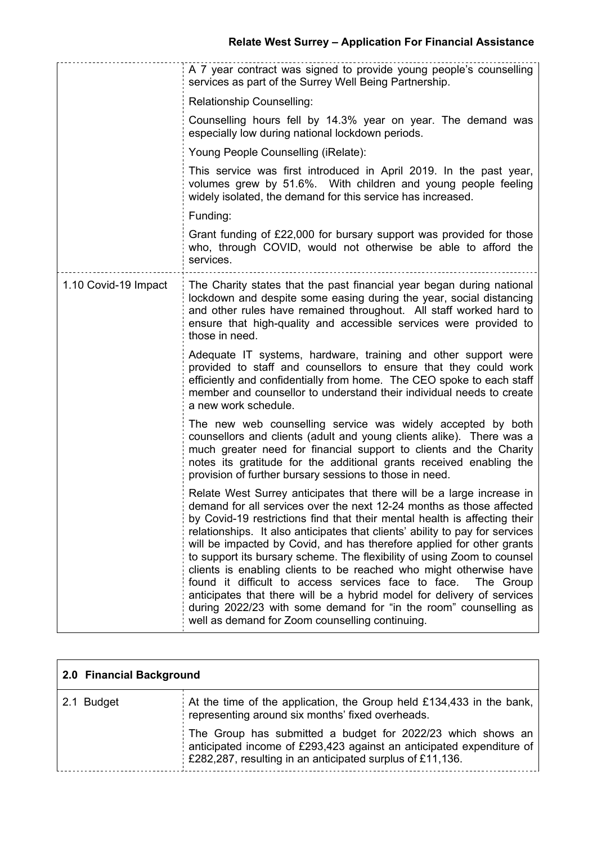|                      | A 7 year contract was signed to provide young people's counselling<br>services as part of the Surrey Well Being Partnership.                                                                                                                                                                                                                                                                                                                                                                                                                                                                                                                                                                                                                                                                              |  |
|----------------------|-----------------------------------------------------------------------------------------------------------------------------------------------------------------------------------------------------------------------------------------------------------------------------------------------------------------------------------------------------------------------------------------------------------------------------------------------------------------------------------------------------------------------------------------------------------------------------------------------------------------------------------------------------------------------------------------------------------------------------------------------------------------------------------------------------------|--|
|                      | Relationship Counselling:                                                                                                                                                                                                                                                                                                                                                                                                                                                                                                                                                                                                                                                                                                                                                                                 |  |
|                      | Counselling hours fell by 14.3% year on year. The demand was<br>especially low during national lockdown periods.                                                                                                                                                                                                                                                                                                                                                                                                                                                                                                                                                                                                                                                                                          |  |
|                      | Young People Counselling (iRelate):                                                                                                                                                                                                                                                                                                                                                                                                                                                                                                                                                                                                                                                                                                                                                                       |  |
|                      | This service was first introduced in April 2019. In the past year,<br>volumes grew by 51.6%. With children and young people feeling<br>widely isolated, the demand for this service has increased.                                                                                                                                                                                                                                                                                                                                                                                                                                                                                                                                                                                                        |  |
|                      | Funding:                                                                                                                                                                                                                                                                                                                                                                                                                                                                                                                                                                                                                                                                                                                                                                                                  |  |
|                      | Grant funding of £22,000 for bursary support was provided for those<br>who, through COVID, would not otherwise be able to afford the<br>services.                                                                                                                                                                                                                                                                                                                                                                                                                                                                                                                                                                                                                                                         |  |
| 1.10 Covid-19 Impact | The Charity states that the past financial year began during national<br>lockdown and despite some easing during the year, social distancing<br>and other rules have remained throughout. All staff worked hard to<br>ensure that high-quality and accessible services were provided to<br>those in need.                                                                                                                                                                                                                                                                                                                                                                                                                                                                                                 |  |
|                      | Adequate IT systems, hardware, training and other support were<br>provided to staff and counsellors to ensure that they could work<br>efficiently and confidentially from home. The CEO spoke to each staff<br>member and counsellor to understand their individual needs to create<br>a new work schedule.                                                                                                                                                                                                                                                                                                                                                                                                                                                                                               |  |
|                      | The new web counselling service was widely accepted by both<br>counsellors and clients (adult and young clients alike). There was a<br>much greater need for financial support to clients and the Charity<br>notes its gratitude for the additional grants received enabling the<br>provision of further bursary sessions to those in need.                                                                                                                                                                                                                                                                                                                                                                                                                                                               |  |
|                      | Relate West Surrey anticipates that there will be a large increase in<br>demand for all services over the next 12-24 months as those affected<br>by Covid-19 restrictions find that their mental health is affecting their<br>relationships. It also anticipates that clients' ability to pay for services<br>will be impacted by Covid, and has therefore applied for other grants<br>to support its bursary scheme. The flexibility of using Zoom to counsel<br>clients is enabling clients to be reached who might otherwise have<br>found it difficult to access services face to face.<br>The Group<br>anticipates that there will be a hybrid model for delivery of services<br>during 2022/23 with some demand for "in the room" counselling as<br>well as demand for Zoom counselling continuing. |  |

| 2.0 Financial Background |                                                                                                                                                                                                        |
|--------------------------|--------------------------------------------------------------------------------------------------------------------------------------------------------------------------------------------------------|
| 2.1 Budget               | At the time of the application, the Group held £134,433 in the bank,<br>representing around six months' fixed overheads.                                                                               |
|                          | The Group has submitted a budget for 2022/23 which shows an<br>anticipated income of £293,423 against an anticipated expenditure of<br>$\pm$ £282,287, resulting in an anticipated surplus of £11,136. |